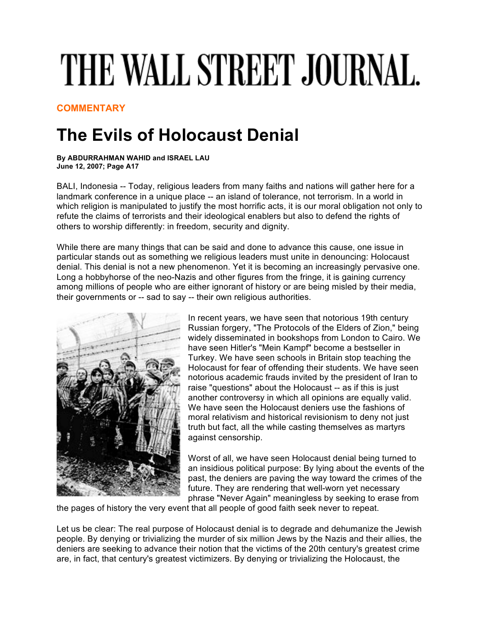## THE WALL STREET JOURNAL.

**COMMENTARY**

## **The Evils of Holocaust Denial**

**By ABDURRAHMAN WAHID and ISRAEL LAU June 12, 2007; Page A17**

BALI, Indonesia -- Today, religious leaders from many faiths and nations will gather here for a landmark conference in a unique place -- an island of tolerance, not terrorism. In a world in which religion is manipulated to justify the most horrific acts, it is our moral obligation not only to refute the claims of terrorists and their ideological enablers but also to defend the rights of others to worship differently: in freedom, security and dignity.

While there are many things that can be said and done to advance this cause, one issue in particular stands out as something we religious leaders must unite in denouncing: Holocaust denial. This denial is not a new phenomenon. Yet it is becoming an increasingly pervasive one. Long a hobbyhorse of the neo-Nazis and other figures from the fringe, it is gaining currency among millions of people who are either ignorant of history or are being misled by their media, their governments or -- sad to say -- their own religious authorities.



In recent years, we have seen that notorious 19th century Russian forgery, "The Protocols of the Elders of Zion," being widely disseminated in bookshops from London to Cairo. We have seen Hitler's "Mein Kampf" become a bestseller in Turkey. We have seen schools in Britain stop teaching the Holocaust for fear of offending their students. We have seen notorious academic frauds invited by the president of Iran to raise "questions" about the Holocaust -- as if this is just another controversy in which all opinions are equally valid. We have seen the Holocaust deniers use the fashions of moral relativism and historical revisionism to deny not just truth but fact, all the while casting themselves as martyrs against censorship.

Worst of all, we have seen Holocaust denial being turned to an insidious political purpose: By lying about the events of the past, the deniers are paving the way toward the crimes of the future. They are rendering that well-worn yet necessary phrase "Never Again" meaningless by seeking to erase from

the pages of history the very event that all people of good faith seek never to repeat.

Let us be clear: The real purpose of Holocaust denial is to degrade and dehumanize the Jewish people. By denying or trivializing the murder of six million Jews by the Nazis and their allies, the deniers are seeking to advance their notion that the victims of the 20th century's greatest crime are, in fact, that century's greatest victimizers. By denying or trivializing the Holocaust, the